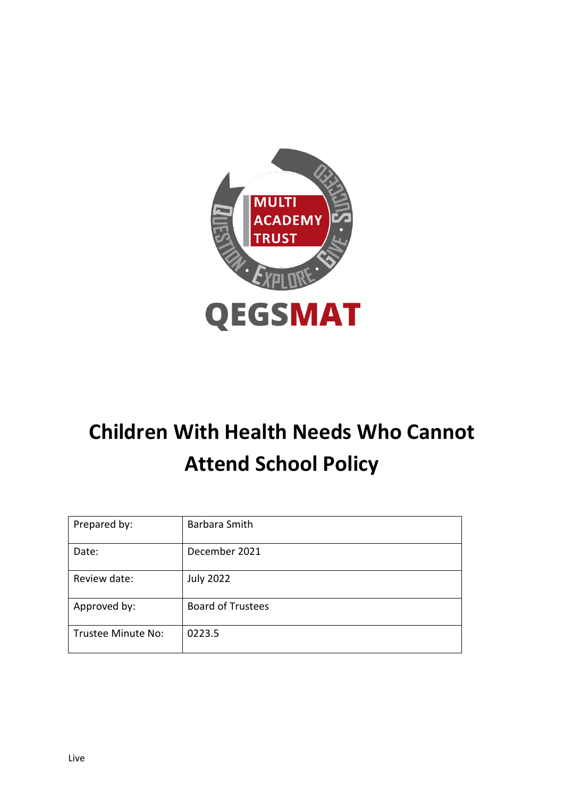

# **Children With Health Needs Who Cannot Attend School Policy**

| Prepared by:       | Barbara Smith            |
|--------------------|--------------------------|
| Date:              | December 2021            |
| Review date:       | <b>July 2022</b>         |
| Approved by:       | <b>Board of Trustees</b> |
| Trustee Minute No: | 0223.5                   |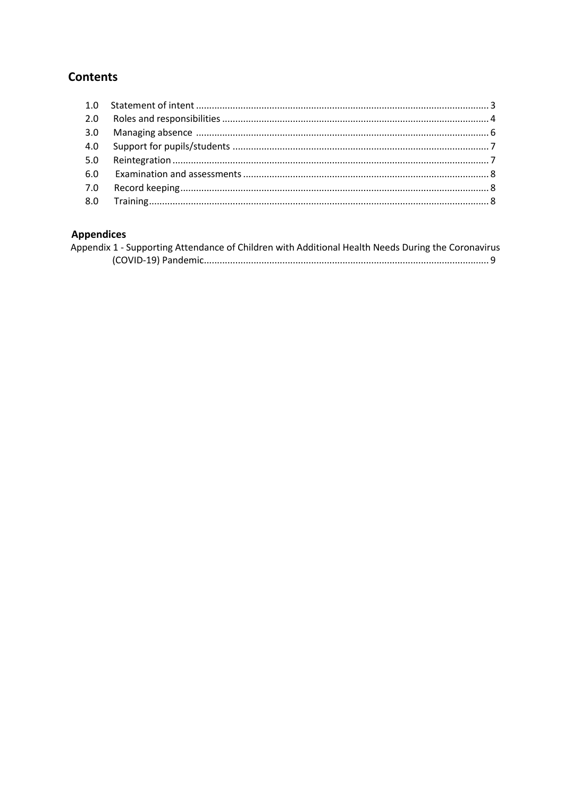# **Contents**

# **Appendices**

| Appendix 1 - Supporting Attendance of Children with Additional Health Needs During the Coronavirus |  |
|----------------------------------------------------------------------------------------------------|--|
|                                                                                                    |  |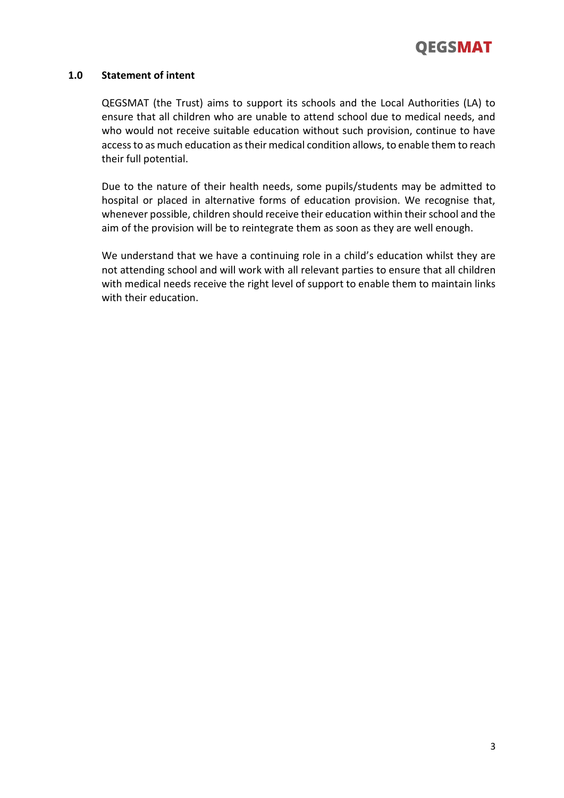

# **1.0 Statement of intent**

QEGSMAT (the Trust) aims to support its schools and the Local Authorities (LA) to ensure that all children who are unable to attend school due to medical needs, and who would not receive suitable education without such provision, continue to have access to as much education as their medical condition allows, to enable them to reach their full potential.

Due to the nature of their health needs, some pupils/students may be admitted to hospital or placed in alternative forms of education provision. We recognise that, whenever possible, children should receive their education within their school and the aim of the provision will be to reintegrate them as soon as they are well enough.

We understand that we have a continuing role in a child's education whilst they are not attending school and will work with all relevant parties to ensure that all children with medical needs receive the right level of support to enable them to maintain links with their education.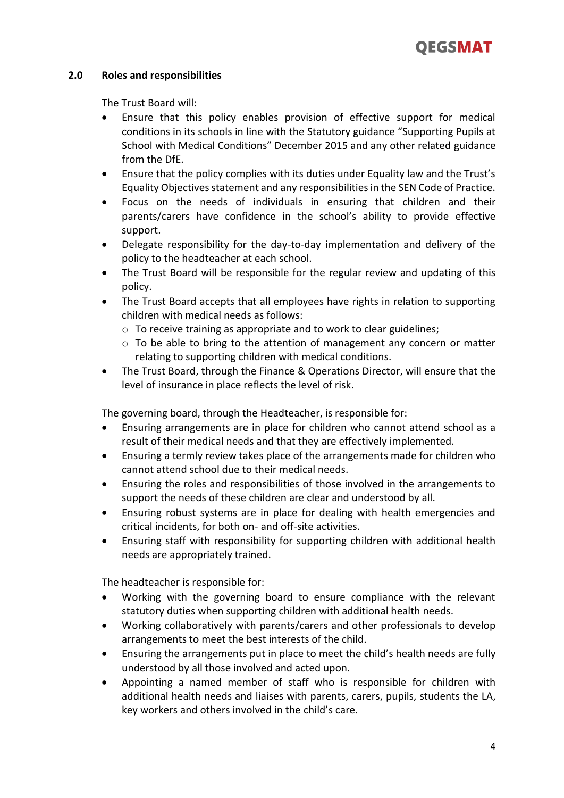

# **2.0 Roles and responsibilities**

The Trust Board will:

- Ensure that this policy enables provision of effective support for medical conditions in its schools in line with the Statutory guidance "Supporting Pupils at School with Medical Conditions" December 2015 and any other related guidance from the DfE.
- Ensure that the policy complies with its duties under Equality law and the Trust's Equality Objectives statement and any responsibilities in the SEN Code of Practice.
- Focus on the needs of individuals in ensuring that children and their parents/carers have confidence in the school's ability to provide effective support.
- Delegate responsibility for the day-to-day implementation and delivery of the policy to the headteacher at each school.
- The Trust Board will be responsible for the regular review and updating of this policy.
- The Trust Board accepts that all employees have rights in relation to supporting children with medical needs as follows:
	- o To receive training as appropriate and to work to clear guidelines;
	- $\circ$  To be able to bring to the attention of management any concern or matter relating to supporting children with medical conditions.
- The Trust Board, through the Finance & Operations Director, will ensure that the level of insurance in place reflects the level of risk.

The governing board, through the Headteacher, is responsible for:

- Ensuring arrangements are in place for children who cannot attend school as a result of their medical needs and that they are effectively implemented.
- Ensuring a termly review takes place of the arrangements made for children who cannot attend school due to their medical needs.
- Ensuring the roles and responsibilities of those involved in the arrangements to support the needs of these children are clear and understood by all.
- Ensuring robust systems are in place for dealing with health emergencies and critical incidents, for both on- and off-site activities.
- Ensuring staff with responsibility for supporting children with additional health needs are appropriately trained.

The headteacher is responsible for:

- Working with the governing board to ensure compliance with the relevant statutory duties when supporting children with additional health needs.
- Working collaboratively with parents/carers and other professionals to develop arrangements to meet the best interests of the child.
- Ensuring the arrangements put in place to meet the child's health needs are fully understood by all those involved and acted upon.
- Appointing a named member of staff who is responsible for children with additional health needs and liaises with parents, carers, pupils, students the LA, key workers and others involved in the child's care.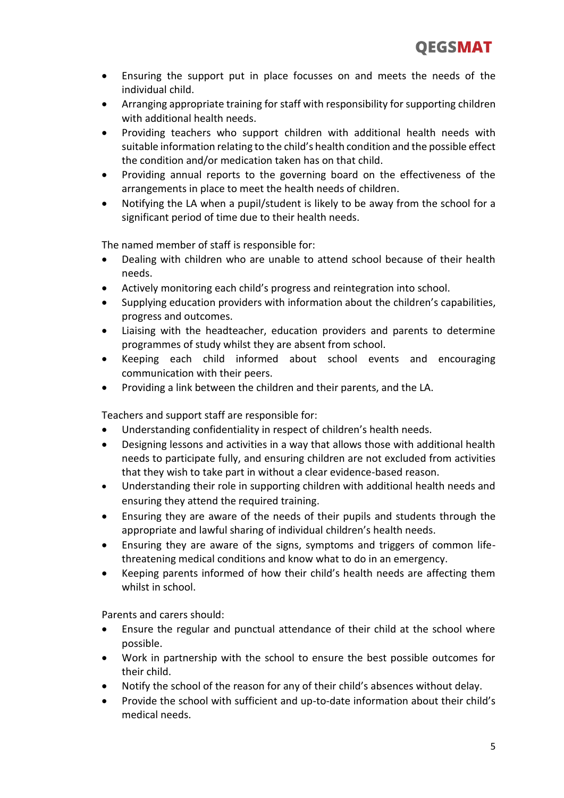- Ensuring the support put in place focusses on and meets the needs of the individual child.
- Arranging appropriate training for staff with responsibility for supporting children with additional health needs.
- Providing teachers who support children with additional health needs with suitable information relating to the child's health condition and the possible effect the condition and/or medication taken has on that child.
- Providing annual reports to the governing board on the effectiveness of the arrangements in place to meet the health needs of children.
- Notifying the LA when a pupil/student is likely to be away from the school for a significant period of time due to their health needs.

The named member of staff is responsible for:

- Dealing with children who are unable to attend school because of their health needs.
- Actively monitoring each child's progress and reintegration into school.
- Supplying education providers with information about the children's capabilities, progress and outcomes.
- Liaising with the headteacher, education providers and parents to determine programmes of study whilst they are absent from school.
- Keeping each child informed about school events and encouraging communication with their peers.
- Providing a link between the children and their parents, and the LA.

Teachers and support staff are responsible for:

- Understanding confidentiality in respect of children's health needs.
- Designing lessons and activities in a way that allows those with additional health needs to participate fully, and ensuring children are not excluded from activities that they wish to take part in without a clear evidence-based reason.
- Understanding their role in supporting children with additional health needs and ensuring they attend the required training.
- Ensuring they are aware of the needs of their pupils and students through the appropriate and lawful sharing of individual children's health needs.
- Ensuring they are aware of the signs, symptoms and triggers of common lifethreatening medical conditions and know what to do in an emergency.
- Keeping parents informed of how their child's health needs are affecting them whilst in school.

Parents and carers should:

- Ensure the regular and punctual attendance of their child at the school where possible.
- Work in partnership with the school to ensure the best possible outcomes for their child.
- Notify the school of the reason for any of their child's absences without delay.
- Provide the school with sufficient and up-to-date information about their child's medical needs.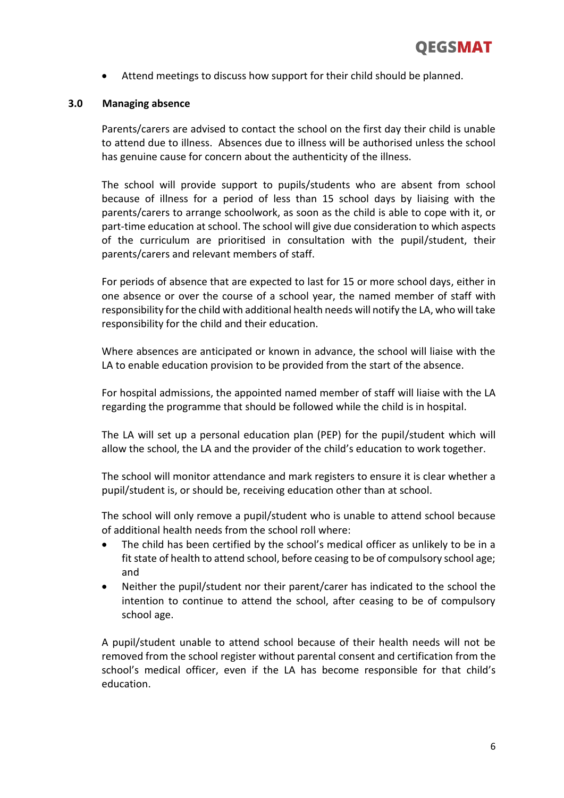Attend meetings to discuss how support for their child should be planned.

# **3.0 Managing absence**

Parents/carers are advised to contact the school on the first day their child is unable to attend due to illness. Absences due to illness will be authorised unless the school has genuine cause for concern about the authenticity of the illness.

The school will provide support to pupils/students who are absent from school because of illness for a period of less than 15 school days by liaising with the parents/carers to arrange schoolwork, as soon as the child is able to cope with it, or part-time education at school. The school will give due consideration to which aspects of the curriculum are prioritised in consultation with the pupil/student, their parents/carers and relevant members of staff.

For periods of absence that are expected to last for 15 or more school days, either in one absence or over the course of a school year, the named member of staff with responsibility for the child with additional health needs will notify the LA, who will take responsibility for the child and their education.

Where absences are anticipated or known in advance, the school will liaise with the LA to enable education provision to be provided from the start of the absence.

For hospital admissions, the appointed named member of staff will liaise with the LA regarding the programme that should be followed while the child is in hospital.

The LA will set up a personal education plan (PEP) for the pupil/student which will allow the school, the LA and the provider of the child's education to work together.

The school will monitor attendance and mark registers to ensure it is clear whether a pupil/student is, or should be, receiving education other than at school.

The school will only remove a pupil/student who is unable to attend school because of additional health needs from the school roll where:

- The child has been certified by the school's medical officer as unlikely to be in a fit state of health to attend school, before ceasing to be of compulsory school age; and
- Neither the pupil/student nor their parent/carer has indicated to the school the intention to continue to attend the school, after ceasing to be of compulsory school age.

A pupil/student unable to attend school because of their health needs will not be removed from the school register without parental consent and certification from the school's medical officer, even if the LA has become responsible for that child's education.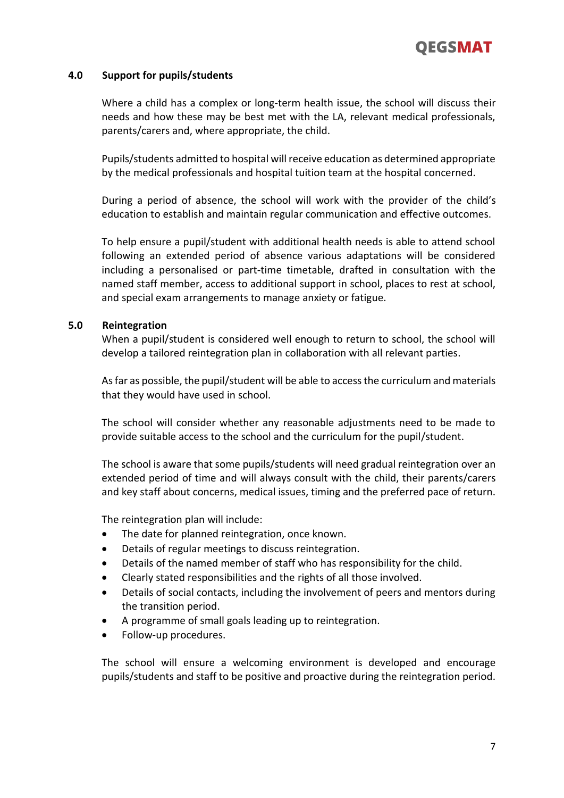

# **4.0 Support for pupils/students**

Where a child has a complex or long-term health issue, the school will discuss their needs and how these may be best met with the LA, relevant medical professionals, parents/carers and, where appropriate, the child.

Pupils/students admitted to hospital will receive education as determined appropriate by the medical professionals and hospital tuition team at the hospital concerned.

During a period of absence, the school will work with the provider of the child's education to establish and maintain regular communication and effective outcomes.

To help ensure a pupil/student with additional health needs is able to attend school following an extended period of absence various adaptations will be considered including a personalised or part-time timetable, drafted in consultation with the named staff member, access to additional support in school, places to rest at school, and special exam arrangements to manage anxiety or fatigue.

#### **5.0 Reintegration**

When a pupil/student is considered well enough to return to school, the school will develop a tailored reintegration plan in collaboration with all relevant parties.

As far as possible, the pupil/student will be able to access the curriculum and materials that they would have used in school.

The school will consider whether any reasonable adjustments need to be made to provide suitable access to the school and the curriculum for the pupil/student.

The school is aware that some pupils/students will need gradual reintegration over an extended period of time and will always consult with the child, their parents/carers and key staff about concerns, medical issues, timing and the preferred pace of return.

The reintegration plan will include:

- The date for planned reintegration, once known.
- Details of regular meetings to discuss reintegration.
- Details of the named member of staff who has responsibility for the child.
- Clearly stated responsibilities and the rights of all those involved.
- Details of social contacts, including the involvement of peers and mentors during the transition period.
- A programme of small goals leading up to reintegration.
- Follow-up procedures.

The school will ensure a welcoming environment is developed and encourage pupils/students and staff to be positive and proactive during the reintegration period.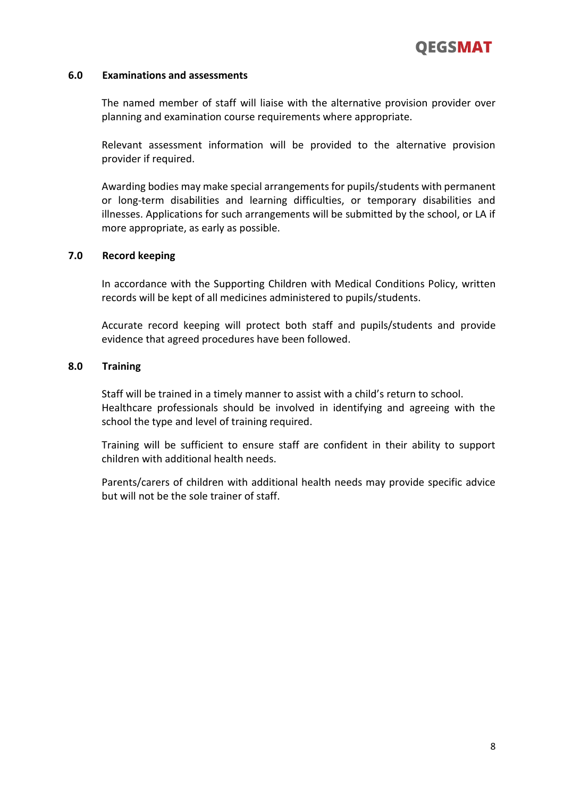

## **6.0 Examinations and assessments**

The named member of staff will liaise with the alternative provision provider over planning and examination course requirements where appropriate.

Relevant assessment information will be provided to the alternative provision provider if required.

Awarding bodies may make special arrangements for pupils/students with permanent or long-term disabilities and learning difficulties, or temporary disabilities and illnesses. Applications for such arrangements will be submitted by the school, or LA if more appropriate, as early as possible.

## **7.0 Record keeping**

In accordance with the Supporting Children with Medical Conditions Policy, written records will be kept of all medicines administered to pupils/students.

Accurate record keeping will protect both staff and pupils/students and provide evidence that agreed procedures have been followed.

## **8.0 Training**

Staff will be trained in a timely manner to assist with a child's return to school. Healthcare professionals should be involved in identifying and agreeing with the school the type and level of training required.

Training will be sufficient to ensure staff are confident in their ability to support children with additional health needs.

Parents/carers of children with additional health needs may provide specific advice but will not be the sole trainer of staff.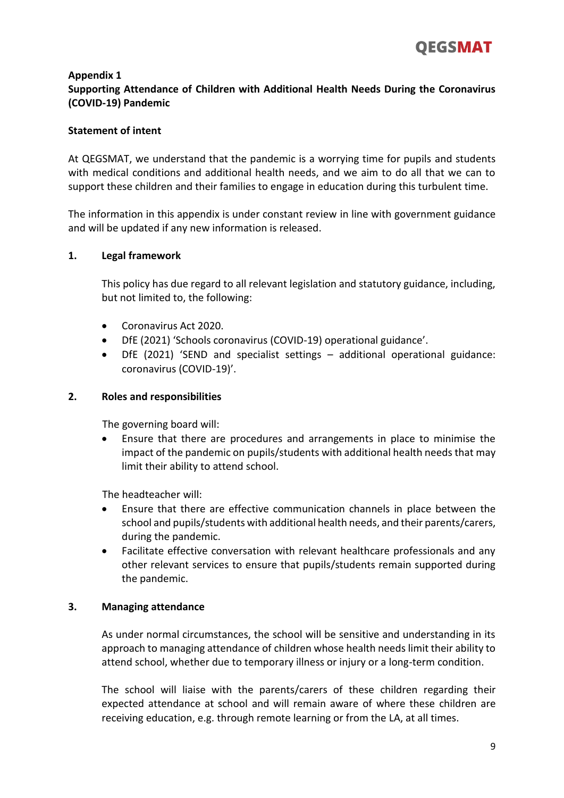

# **Appendix 1 Supporting Attendance of Children with Additional Health Needs During the Coronavirus (COVID-19) Pandemic**

# **Statement of intent**

At QEGSMAT, we understand that the pandemic is a worrying time for pupils and students with medical conditions and additional health needs, and we aim to do all that we can to support these children and their families to engage in education during this turbulent time.

The information in this appendix is under constant review in line with government guidance and will be updated if any new information is released.

# **1. Legal framework**

This policy has due regard to all relevant legislation and statutory guidance, including, but not limited to, the following:

- Coronavirus Act 2020.
- DfE (2021) 'Schools coronavirus (COVID-19) operational guidance'.
- DfE (2021) 'SEND and specialist settings additional operational guidance: coronavirus (COVID-19)'.

# **2. Roles and responsibilities**

The governing board will:

 Ensure that there are procedures and arrangements in place to minimise the impact of the pandemic on pupils/students with additional health needs that may limit their ability to attend school.

The headteacher will:

- Ensure that there are effective communication channels in place between the school and pupils/students with additional health needs, and their parents/carers, during the pandemic.
- Facilitate effective conversation with relevant healthcare professionals and any other relevant services to ensure that pupils/students remain supported during the pandemic.

# **3. Managing attendance**

As under normal circumstances, the school will be sensitive and understanding in its approach to managing attendance of children whose health needs limit their ability to attend school, whether due to temporary illness or injury or a long-term condition.

The school will liaise with the parents/carers of these children regarding their expected attendance at school and will remain aware of where these children are receiving education, e.g. through remote learning or from the LA, at all times.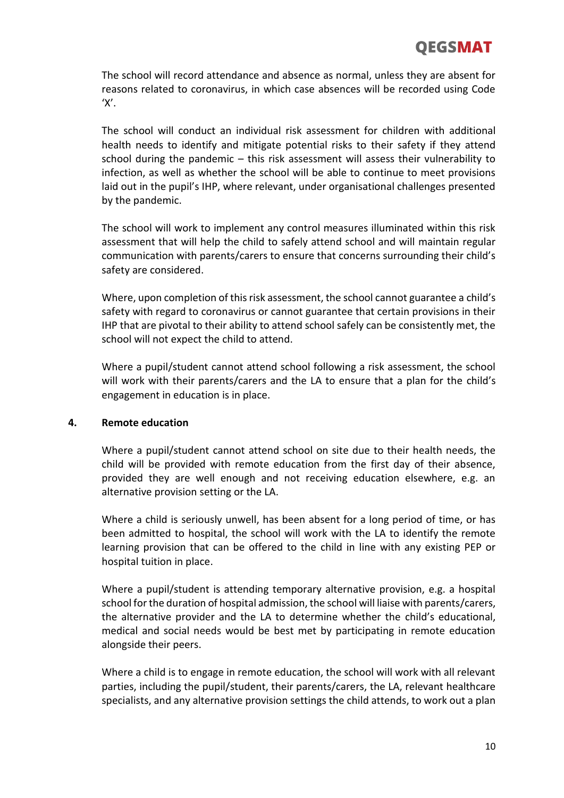# **OEGSMAT**

The school will record attendance and absence as normal, unless they are absent for reasons related to coronavirus, in which case absences will be recorded using Code  $'X'$ .

The school will conduct an individual risk assessment for children with additional health needs to identify and mitigate potential risks to their safety if they attend school during the pandemic – this risk assessment will assess their vulnerability to infection, as well as whether the school will be able to continue to meet provisions laid out in the pupil's IHP, where relevant, under organisational challenges presented by the pandemic.

The school will work to implement any control measures illuminated within this risk assessment that will help the child to safely attend school and will maintain regular communication with parents/carers to ensure that concerns surrounding their child's safety are considered.

Where, upon completion of this risk assessment, the school cannot guarantee a child's safety with regard to coronavirus or cannot guarantee that certain provisions in their IHP that are pivotal to their ability to attend school safely can be consistently met, the school will not expect the child to attend.

Where a pupil/student cannot attend school following a risk assessment, the school will work with their parents/carers and the LA to ensure that a plan for the child's engagement in education is in place.

# **4. Remote education**

Where a pupil/student cannot attend school on site due to their health needs, the child will be provided with remote education from the first day of their absence, provided they are well enough and not receiving education elsewhere, e.g. an alternative provision setting or the LA.

Where a child is seriously unwell, has been absent for a long period of time, or has been admitted to hospital, the school will work with the LA to identify the remote learning provision that can be offered to the child in line with any existing PEP or hospital tuition in place.

Where a pupil/student is attending temporary alternative provision, e.g. a hospital school for the duration of hospital admission, the school will liaise with parents/carers, the alternative provider and the LA to determine whether the child's educational, medical and social needs would be best met by participating in remote education alongside their peers.

Where a child is to engage in remote education, the school will work with all relevant parties, including the pupil/student, their parents/carers, the LA, relevant healthcare specialists, and any alternative provision settings the child attends, to work out a plan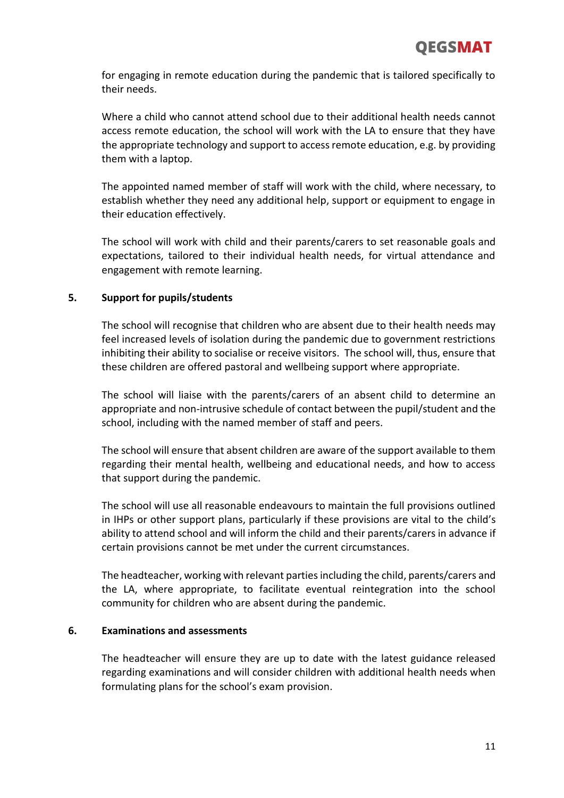for engaging in remote education during the pandemic that is tailored specifically to their needs.

Where a child who cannot attend school due to their additional health needs cannot access remote education, the school will work with the LA to ensure that they have the appropriate technology and support to access remote education, e.g. by providing them with a laptop.

The appointed named member of staff will work with the child, where necessary, to establish whether they need any additional help, support or equipment to engage in their education effectively.

The school will work with child and their parents/carers to set reasonable goals and expectations, tailored to their individual health needs, for virtual attendance and engagement with remote learning.

# **5. Support for pupils/students**

The school will recognise that children who are absent due to their health needs may feel increased levels of isolation during the pandemic due to government restrictions inhibiting their ability to socialise or receive visitors. The school will, thus, ensure that these children are offered pastoral and wellbeing support where appropriate.

The school will liaise with the parents/carers of an absent child to determine an appropriate and non-intrusive schedule of contact between the pupil/student and the school, including with the named member of staff and peers.

The school will ensure that absent children are aware of the support available to them regarding their mental health, wellbeing and educational needs, and how to access that support during the pandemic.

The school will use all reasonable endeavours to maintain the full provisions outlined in IHPs or other support plans, particularly if these provisions are vital to the child's ability to attend school and will inform the child and their parents/carers in advance if certain provisions cannot be met under the current circumstances.

The headteacher, working with relevant parties including the child, parents/carers and the LA, where appropriate, to facilitate eventual reintegration into the school community for children who are absent during the pandemic.

# **6. Examinations and assessments**

The headteacher will ensure they are up to date with the latest guidance released regarding examinations and will consider children with additional health needs when formulating plans for the school's exam provision.